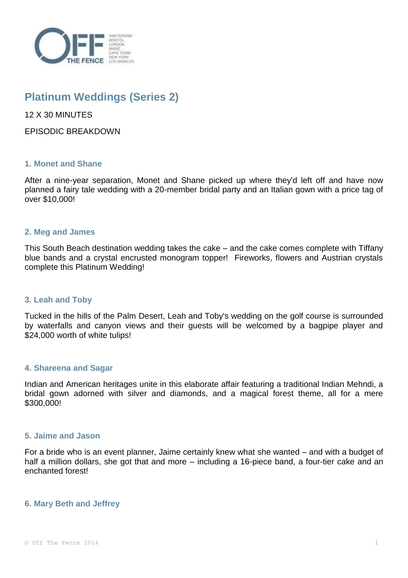

# **Platinum Weddings (Series 2)**

12 X 30 MINUTES

EPISODIC BREAKDOWN

# **1. Monet and Shane**

After a nine-year separation, Monet and Shane picked up where they'd left off and have now planned a fairy tale wedding with a 20-member bridal party and an Italian gown with a price tag of over \$10,000!

# **2. Meg and James**

This South Beach destination wedding takes the cake – and the cake comes complete with Tiffany blue bands and a crystal encrusted monogram topper! Fireworks, flowers and Austrian crystals complete this Platinum Wedding!

# **3. Leah and Toby**

Tucked in the hills of the Palm Desert, Leah and Toby's wedding on the golf course is surrounded by waterfalls and canyon views and their guests will be welcomed by a bagpipe player and \$24,000 worth of white tulips!

# **4. Shareena and Sagar**

Indian and American heritages unite in this elaborate affair featuring a traditional Indian Mehndi, a bridal gown adorned with silver and diamonds, and a magical forest theme, all for a mere \$300,000!

# **5. Jaime and Jason**

For a bride who is an event planner, Jaime certainly knew what she wanted – and with a budget of half a million dollars, she got that and more – including a 16-piece band, a four-tier cake and an enchanted forest!

# **6. Mary Beth and Jeffrey**